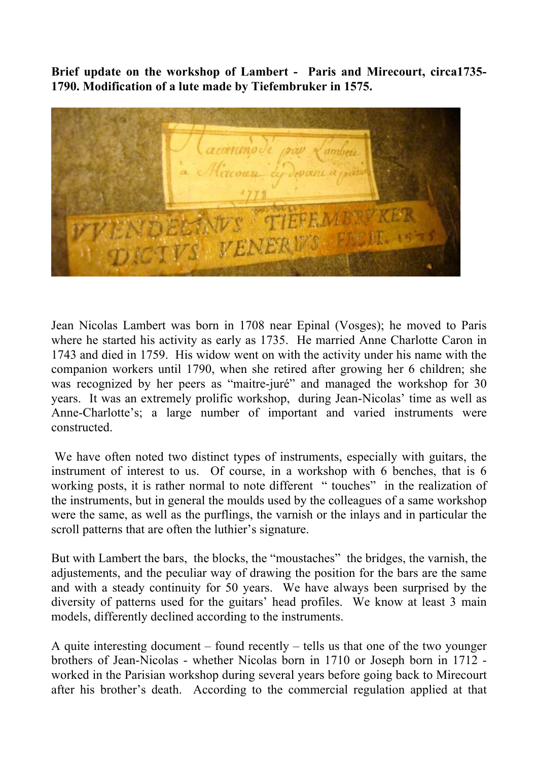**Brief update on the workshop of Lambert - Paris and Mirecourt, circa1735- 1790. Modification of a lute made by Tiefembruker in 1575.** 



Jean Nicolas Lambert was born in 1708 near Epinal (Vosges); he moved to Paris where he started his activity as early as 1735. He married Anne Charlotte Caron in 1743 and died in 1759. His widow went on with the activity under his name with the companion workers until 1790, when she retired after growing her 6 children; she was recognized by her peers as "maitre-juré" and managed the workshop for 30 years. It was an extremely prolific workshop, during Jean-Nicolas' time as well as Anne-Charlotte's; a large number of important and varied instruments were constructed.

 We have often noted two distinct types of instruments, especially with guitars, the instrument of interest to us. Of course, in a workshop with 6 benches, that is 6 working posts, it is rather normal to note different " touches" in the realization of the instruments, but in general the moulds used by the colleagues of a same workshop were the same, as well as the purflings, the varnish or the inlays and in particular the scroll patterns that are often the luthier's signature.

But with Lambert the bars, the blocks, the "moustaches" the bridges, the varnish, the adjustements, and the peculiar way of drawing the position for the bars are the same and with a steady continuity for 50 years. We have always been surprised by the diversity of patterns used for the guitars' head profiles. We know at least 3 main models, differently declined according to the instruments.

A quite interesting document – found recently – tells us that one of the two younger brothers of Jean-Nicolas - whether Nicolas born in 1710 or Joseph born in 1712 worked in the Parisian workshop during several years before going back to Mirecourt after his brother's death. According to the commercial regulation applied at that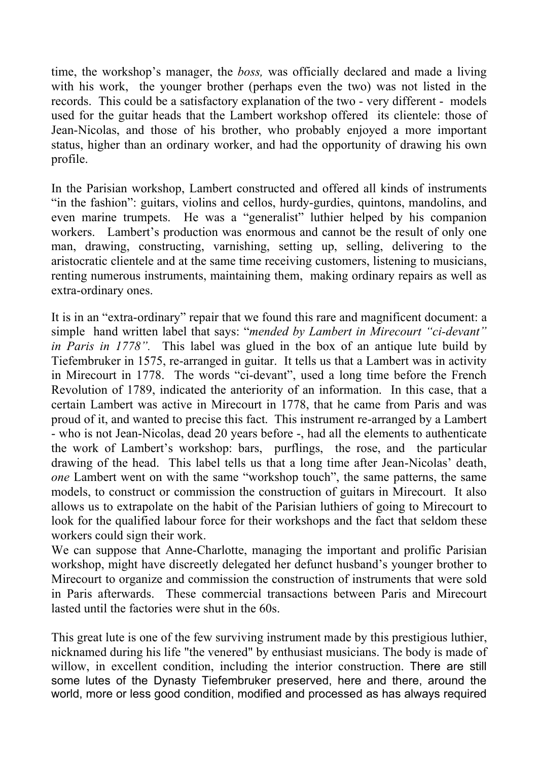time, the workshop's manager, the *boss,* was officially declared and made a living with his work, the younger brother (perhaps even the two) was not listed in the records. This could be a satisfactory explanation of the two - very different - models used for the guitar heads that the Lambert workshop offered its clientele: those of Jean-Nicolas, and those of his brother, who probably enjoyed a more important status, higher than an ordinary worker, and had the opportunity of drawing his own profile.

In the Parisian workshop, Lambert constructed and offered all kinds of instruments "in the fashion": guitars, violins and cellos, hurdy-gurdies, quintons, mandolins, and even marine trumpets. He was a "generalist" luthier helped by his companion workers. Lambert's production was enormous and cannot be the result of only one man, drawing, constructing, varnishing, setting up, selling, delivering to the aristocratic clientele and at the same time receiving customers, listening to musicians, renting numerous instruments, maintaining them, making ordinary repairs as well as extra-ordinary ones.

It is in an "extra-ordinary" repair that we found this rare and magnificent document: a simple hand written label that says: "*mended by Lambert in Mirecourt "ci-devant" in Paris in 1778".* This label was glued in the box of an antique lute build by Tiefembruker in 1575, re-arranged in guitar. It tells us that a Lambert was in activity in Mirecourt in 1778. The words "ci-devant", used a long time before the French Revolution of 1789, indicated the anteriority of an information. In this case, that a certain Lambert was active in Mirecourt in 1778, that he came from Paris and was proud of it, and wanted to precise this fact. This instrument re-arranged by a Lambert - who is not Jean-Nicolas, dead 20 years before -, had all the elements to authenticate the work of Lambert's workshop: bars, purflings, the rose, and the particular drawing of the head. This label tells us that a long time after Jean-Nicolas' death, *one* Lambert went on with the same "workshop touch", the same patterns, the same models, to construct or commission the construction of guitars in Mirecourt. It also allows us to extrapolate on the habit of the Parisian luthiers of going to Mirecourt to look for the qualified labour force for their workshops and the fact that seldom these workers could sign their work.

We can suppose that Anne-Charlotte, managing the important and prolific Parisian workshop, might have discreetly delegated her defunct husband's younger brother to Mirecourt to organize and commission the construction of instruments that were sold in Paris afterwards. These commercial transactions between Paris and Mirecourt lasted until the factories were shut in the 60s.

This great lute is one of the few surviving instrument made by this prestigious luthier, nicknamed during his life "the venered" by enthusiast musicians. The body is made of willow, in excellent condition, including the interior construction. There are still some lutes of the Dynasty Tiefembruker preserved, here and there, around the world, more or less good condition, modified and processed as has always required